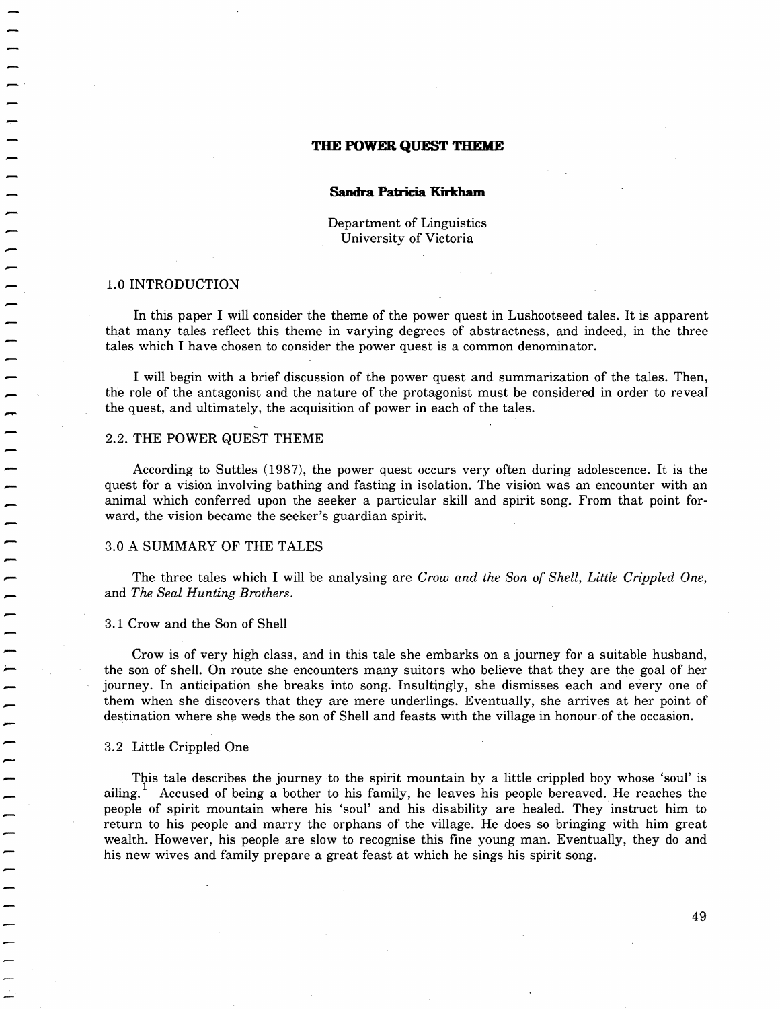### **THE POWER QUEST THEME**

#### **Sandra Patricia Kirkham**

Department of Linguistics University of Victoria

### 1.0 INTRODUCTION

 $\overline{\phantom{a}}$ 

|<br>|<br>|

In this paper I will consider the theme of the power quest in Lushootseed tales. It is apparent that many tales reflect this theme in varying degrees of abstractness, and indeed, in the three tales which I have chosen to consider the power quest is a common denominator.

I will begin with a brief discussion of the power quest and summarization of the tales. Then, the role of the antagonist and the nature of the protagonist must be considered in order to reveal the quest, and ultimately, th the quest, and ultimately, the acquisition of power in each of the tales.

### 2.2. THE POWER QUEST THEME

According to Suttles (1987), the power quest occurs very often during adolescence. It is the quest for a vision involving bathing and fasting in isolation. The vision was an encounter with an animal which conferred upon the seeker a particular skill and spirit song. From that point forward, the vision became the seeker's guardian spirit.

### 3.0 A SUMMARY OF THE TALES

The three tales which I will be analysing are *Crow and the Son of Shell, Little Crippled One,*  and *The Seal Hunting Brothers.* 

### 3.1 Crow and the Son of Shell

Crow is of very high class, and in this tale she embarks on a journey for a suitable husband, the son of shell. On route she encounters many suitors who believe that they are the goal of her journey. In anticipation she breaks into song. Insultingly, she dismisses each and everyone of them when she discovers that they are mere underlings. Eventually, she arrives at her point of destination where she weds the son of Shell and feasts with the village in honour of the occasion.

### 3.2 Little Crippled One

This tale describes the journey to the spirit mountain by a little crippled boy whose 'soul' is ailing. 1 Accused of being a bother to his family, he leaves his people bereaved. He reaches the people of spirit mountain where his 'soul' and his disability are healed. They instruct him to return to his people and marry the orphans of the village. He does so bringing with him great wealth. However, his people are slow to recognise this fine young man. Eventually, they do and his new wives and family prepare a great feast at which he sings his spirit song.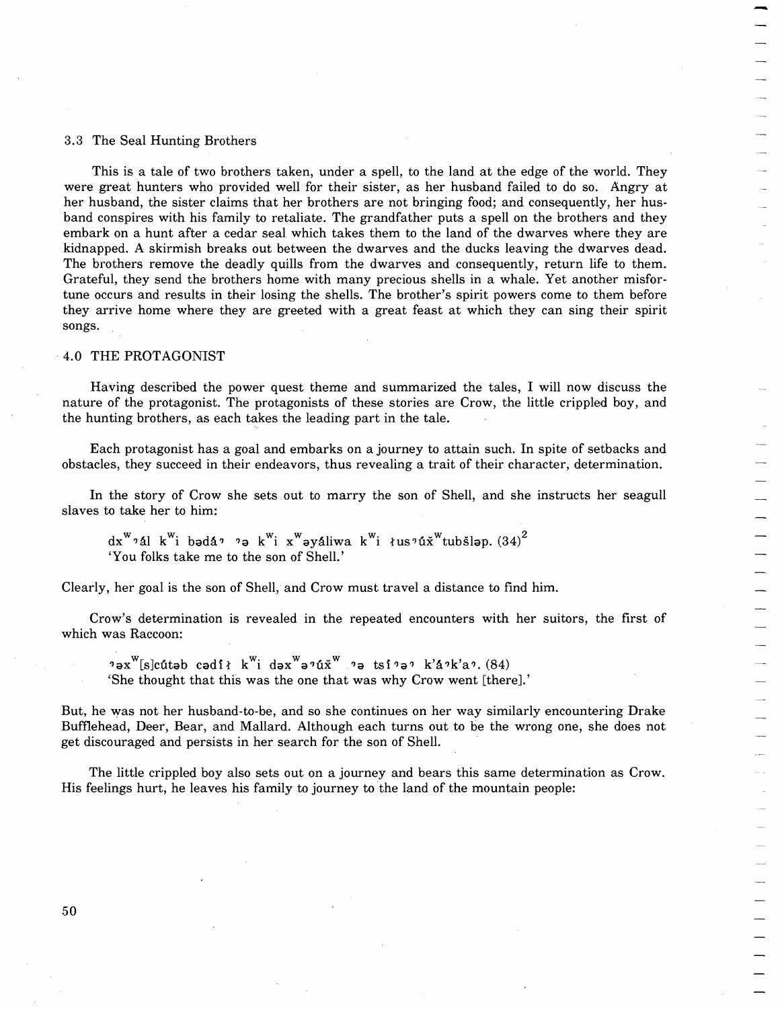### 3.3 The Seal Hunting Brothers

This is a tale of two brothers taken, under a spell, to the land at the edge of the world. They were great hunters who provided well for their sister, as her husband failed to do so. Angry at her husband, the sister claims that her brothers are not bringing food; and consequently, her husband conspires with his family to retaliate. The grandfather puts a spell on the brothers and they ernbark on a hunt after a cedar seal which takes them to the land of the dwarves where they are kidnapped. A skirmish breaks out between the dwarves and the ducks leaving the dwarves dead. The brothers remove the deadly quills from the dwarves and consequently, return life to them. Grateful, they send the brothers home with many precious shells in a whale. Yet another misfortune occurs and results in their losing the shells. The brother's spirit powers come to them before they arrive home where they are greeted with a great feast at which they can sing their spirit songs.

# . 4.0 THE PROTAGONIST

Having described the power quest theme and summarized the tales, I will now discuss the nature of the protagonist. The protagonists of these stories are Crow, the little crippled boy, and the hunting brothers, as each takes the leading part in the tale.

Each protagonist has a goal and embarks on a journey to attain such. In spite of setbacks and obstacles, they succeed in their endeavors, thus revealing a trait of their character, determination.

In the story of Crow she sets out to marry the son of Shell, and she instructs her seagull slaves to take her to him:

dx<sup>w</sup>?ál k<sup>w</sup>i badá? ?a k<sup>w</sup>i x<sup>w</sup>ayáliwa k<sup>w</sup>i łus?úx<sup>w</sup>tubšlap. (34)<sup>2</sup> 'You folks take me to the son of Shell.'

Clearly, her goal is the son of Shell; and Crow must travel a distance to find him.

Crow's determination is revealed in the repeated encounters with her suitors, the first of which was Raccoon:

 $2a^w$ [s]cútab cadił k<sup>w</sup>i dax<sup>w</sup>a?úx<sup>w</sup> ?a tsi?a? k'á?k'a? (84) 'She thought that this was the one that was why Crow went [there].'

But, he was not her husband-to-be, and so she continues on her way similarly encountering Drake Buffiehead, Deer, Bear, and Mallard. Although each turns out to be the wrong one, she does not get discouraged and persists in her search for the son of Shell.

The little crippled boy also sets out on a journey and bears this same determination as Crow. His feelings hurt, he leaves his family to journey to the land of the mountain people:

50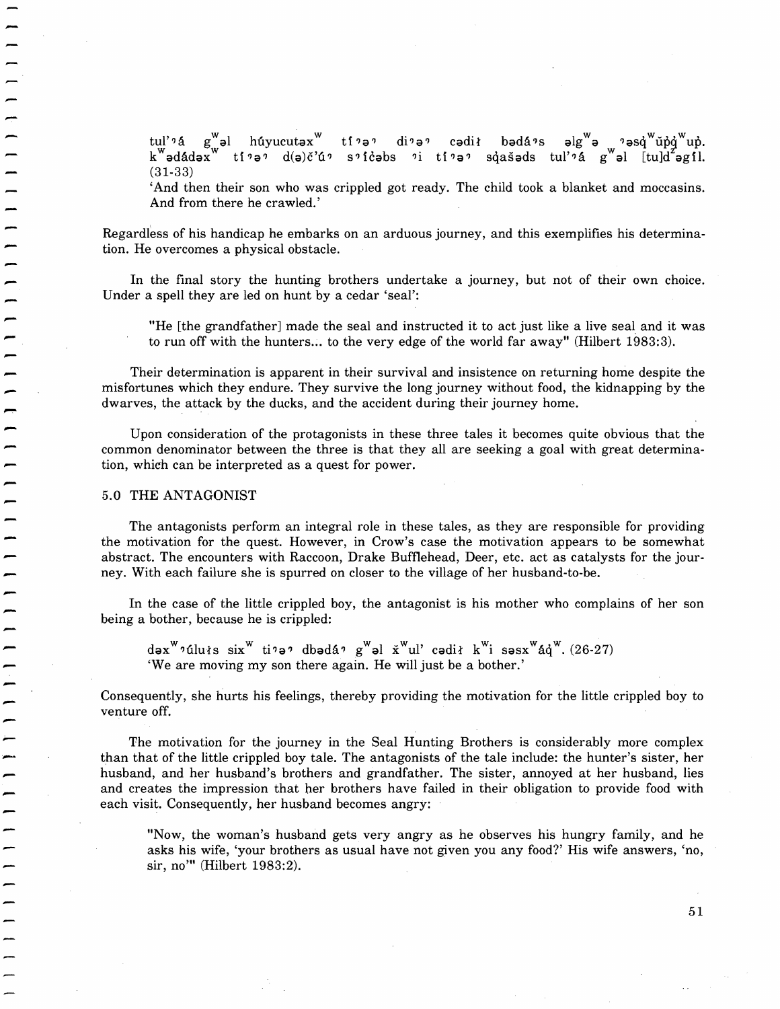tul'' a g $_{\rm w}^{\rm w}$ əl húyucutəx $^{\rm w}$  ti'ə' di'ə' cədił bədá's əlg $^{\rm w}$ ə 'əs $\rm q\,^{\rm w}$ ŭ $\rm p\,^{\rm w}$ up. kwadadaxw ti?a? d(a)c'u? s? Icabs ?i ti?a? sqasads tul'?a gwal [tu]d agil. (31-33)

'And then their son who was crippled got ready. The child took a blanket and moccasins. And from there he crawled.'

Regardless of his handicap he embarks on an arduous journey, and this exemplifies his determination. He overcomes a physical obstacle.

In the final story the hunting brothers undertake a journey, but not of their own choice. Under a spell they are led on hunt by a cedar 'seal':

"He [the grandfather] made the seal and instructed it to act just like a live seal. and it was to run off with the hunters... to the very edge of the world far away" (Hilbert 1983:3).

Their determination is apparent in their survival and insistence on returning home despite the misfortunes which they endure. They survive the long journey without food, the kidnapping by the dwarves, the attack by the ducks, and the accident during their journey home.

Upon consideration of the protagonists in these three tales it becomes quite obvious that the common denominator between the three is that they all are seeking a goal with great determination, which can be interpreted as a quest for power.

#### 5.0 THE ANTAGONIST

The antagonists perform an integral role in these tales, as they are responsible for providing the motivation for the quest. However, in Crow's case the motivation appears to be somewhat abstract. The encounters with Raccoon, Drake Bufflehead, Deer, etc. act as catalysts for the journey. With each failure she is spurred on closer to the village of her husband-to-be.

In the case of the little crippled boy, the antagonist is his mother who complains of her son being a bother, because he is crippled:

 $d\sigma x^W$ ?úluts six<sup>w</sup> ti?a? dbadá? g<sup>w</sup>al x<sup>w</sup>ul' cadit k<sup>w</sup>i sasx<sup>w</sup>áq<sup>w</sup>. (26-27) 'We are moving my son there again. He will just be a bother.'

Consequently, she hurts his feelings, thereby providing the motivation for the little crippled boy to venture off.

The motivation for the journey in the Seal Hunting Brothers is considerably more complex than that of the little crippled boy tale. The antagonists of the tale include: the hunter's sister, her husband, and her husband's brothers and grandfather. The sister, annoyed at her husband, lies and creates the impression that her brothers have failed in their obligation to provide food with each visit. Consequently, her husband becomes angry:

"Now, the woman's husband gets very angry as he observes his hungry family, and he asks his wife, 'your brothers as usual have not given you any food?' His wife answers, 'no, sir, no'" (Hilbert 1983:2).

51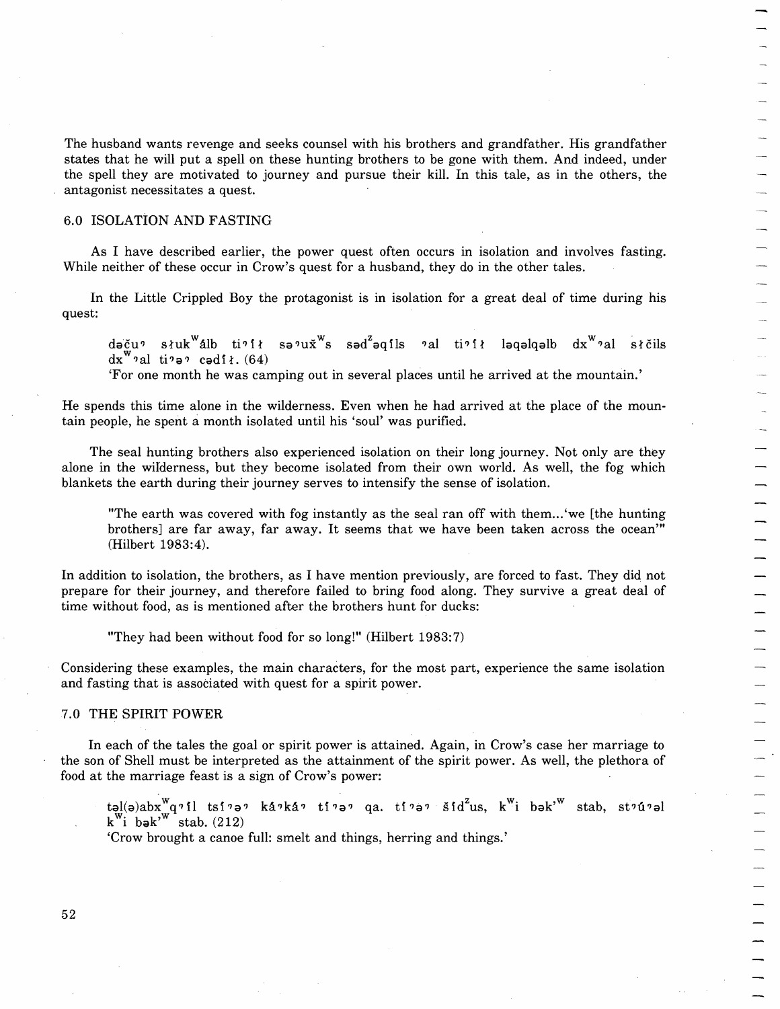The husband wants revenge and seeks counsel with his brothers and grandfather. His grandfather states that he will put a spell on these hunting brothers to be gone with them. And indeed, under the spell they are motivated to journey and pursue their kill. In this tale, as in the others, the antagonist necessitates a quest.

# 6.0 ISOLATION AND FASTING

As I have described earlier, the power quest often occurs in isolation and involves fasting. While neither of these occur in Crow's quest for a husband, they do in the other tales.

In the Little Crippled Boy the protagonist is in isolation for a great deal of time during his quest:

dəču? słuk<sup>w</sup>álb ti? ił sə?u $\check{x}$ <sup>xw</sup>s səd<sup>z</sup>əqils ?al ti? ił ləqəlqəlb dx<sup>w</sup>?al słčils  $dx^{\mathbf{w}}$ <sup>2</sup>al ti<sup>2</sup> a<sup>2</sup> cadi *i*. (64)

'For one month he was camping out in several places until he arrived at the mountain.'

He spends this time alone in the wilderness. Even when he had arrived at the place of the mountain people, he spent amonth isolated until his 'soul' was purified.

The seal hunting brothers also experienced isolation on their long journey. Not only are they alone in the wifderness, but they become isolated from their own world. As well, the fog which blankets the earth during their journey serves to intensify the sense of isolation.

"The earth was covered with fog instantly as the seal ran off with them...'we [the hunting brothers] are far away, far away. It seems that we have been taken across the ocean'" (Hilbert 1983:4).

In addition to isolation, the brothers, as I have mention previously, are forced to fast. They did not prepare for their journey, and therefore failed to bring food along. They survive a great deal of time without food, as is mentioned after the brothers hunt for ducks:

"They had been without food for so long!" (Hilbert 1983: 7)

Considering these examples, the main characters, for the most part, experience the same isolation and fasting that is associated with quest for a spirit power.

### 7.0 THE SPIRIT POWER

In each of the tales the goal or spirit power is attained. Again, in Crow's case her marriage to the son of Shell must be interpreted as the attainment of the spirit power. As well, the plethora of food at the marriage feast is a sign of Crow's power:

təl(ə)ab $\mathrm{x^W}$ q?il tsi?ə? ká?ká? ti?ə? qa. ti?ə? šid $^{\mathrm{z}}$ us, k $^{\mathrm{w}}$ i bək' $^{\mathrm{w}}$  stab, st?ú?əl  $k^{\mathsf{w}}$ i bə $k^{\mathsf{w}}$  stab. (212)

'Crow brought a canoe full: smelt and things, herring and things.'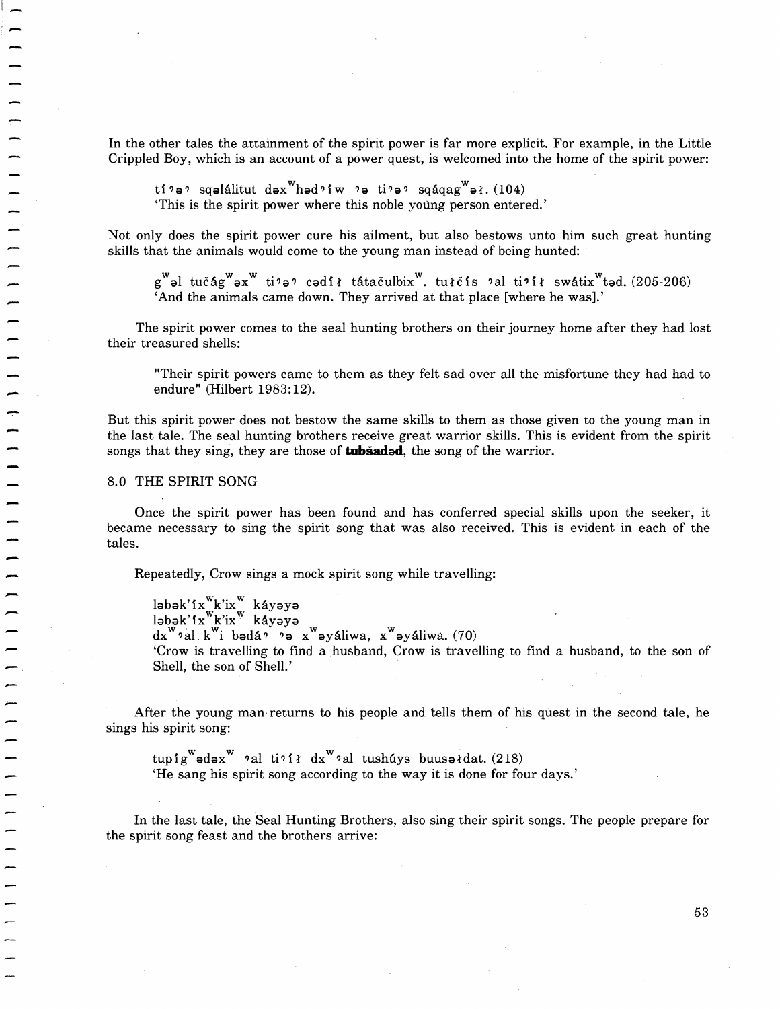In the other tales the attainment of the spirit power is far more explicit. For example, in the Little Crippled Boy, which is an account of a power quest, is welcomed into the home of the spirit power:

 $\mathop{\mathsf{tf}}\nolimits$ ?ə? sqəlálitut də $\mathbf{x}^\mathbf{w}$ həd? $\mathbf{f} \mathbf{w}$  ?ə ti?ə? sqáqag $\mathbf{x}^\mathbf{w}$ əł.(104) 'This is the spirit power where this noble young person entered.'

Not only does the spirit power cure his ailment, but also bestows unto him such great hunting skills that the animals would come to the young man instead of being hunted:

g<sup>w</sup>əl tučág<sup>w</sup>əx<sup>w</sup> ti?ə? cədił tátačulbix<sup>w</sup>. tułčis ?al ti?ił swátix<sup>w</sup>təd. (205-206) 'And the animals came down. They arrived at that place [where he was].'

The spirit power comes to the seal hunting brothers on their journey home after they had lost their treasured shells:

"Their spirit powers came to them as they felt sad over all the misfortune they had had to endure" (Hilbert 1983:12).

But this spirit power does not bestow the same skills to them as those given to the young man in the, last tale. The seal hunting brothers receive great warrior skills. This is evident from the spirit songs that they sing, they are those of **tubiadad,** the song of the warrior.

### 8.0 THE SPIRIT SONG

 $\overline{\phantom{a}}$ 

Once the spirit power has been found and has conferred special skills upon the seeker, it became necessary to sing the spirit song that was also received. This is evident in each of the tales.

Repeatedly, Crow sings a mock spirit song while travelling:

ləbək'ix<sup>w</sup>k'ix<sup>w</sup> káyəyə ləbək'ix<sup>w</sup>k'ix<sup>w</sup> káyəyə  $dx^{\mathbf{w}}$  al k<sup>w</sup>i badá? ?a x<sup>w</sup>ayáliwa, x<sup>w</sup>ayáliwa. (70) 'Crow is travelling to find a husband, Crow is travelling to find a husband, to the son of Shell, the son of Shell.'

After the young man· returns to his people and tells them of his quest in the second tale, he sings his spirit song:

 $tuspfg^{\mathbf{w}}$ ədəx $^{\mathbf{w}}$  'al ti' $i$  dx $^{\mathbf{w}}$ 'al tushuys buusəi'dat. (218) 'He sang his spirit song according to the way it is done for four days.'

In the last tale, the Seal Hunting Brothers, also sing their spirit songs. The people prepare for the spirit song feast and the brothers arrive: